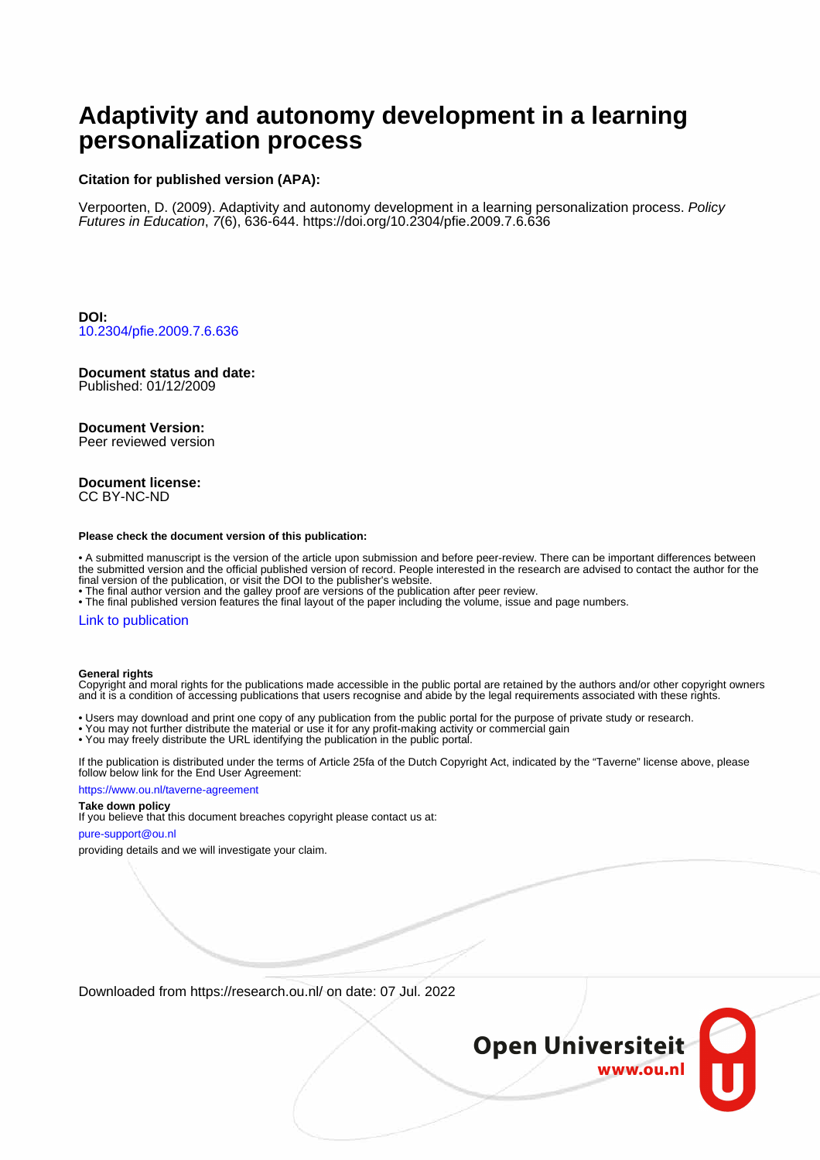# **Adaptivity and autonomy development in a learning personalization process**

### **Citation for published version (APA):**

Verpoorten, D. (2009). Adaptivity and autonomy development in a learning personalization process. Policy Futures in Education, 7(6), 636-644. <https://doi.org/10.2304/pfie.2009.7.6.636>

**DOI:** [10.2304/pfie.2009.7.6.636](https://doi.org/10.2304/pfie.2009.7.6.636)

#### **Document status and date:**

Published: 01/12/2009

#### **Document Version:**

Peer reviewed version

#### **Document license:** CC BY-NC-ND

#### **Please check the document version of this publication:**

• A submitted manuscript is the version of the article upon submission and before peer-review. There can be important differences between the submitted version and the official published version of record. People interested in the research are advised to contact the author for the final version of the publication, or visit the DOI to the publisher's website.

• The final author version and the galley proof are versions of the publication after peer review.

• The final published version features the final layout of the paper including the volume, issue and page numbers.

#### [Link to publication](https://research.ou.nl/en/publications/7e4eac27-87b6-4ff9-b68f-ac7301ed71e1)

#### **General rights**

Copyright and moral rights for the publications made accessible in the public portal are retained by the authors and/or other copyright owners and it is a condition of accessing publications that users recognise and abide by the legal requirements associated with these rights.

- Users may download and print one copy of any publication from the public portal for the purpose of private study or research.
- You may not further distribute the material or use it for any profit-making activity or commercial gain
- You may freely distribute the URL identifying the publication in the public portal.

If the publication is distributed under the terms of Article 25fa of the Dutch Copyright Act, indicated by the "Taverne" license above, please follow below link for the End User Agreement:

#### https://www.ou.nl/taverne-agreement

### **Take down policy**

If you believe that this document breaches copyright please contact us at:

#### pure-support@ou.nl

providing details and we will investigate your claim.

Downloaded from https://research.ou.nl/ on date: 07 Jul. 2022

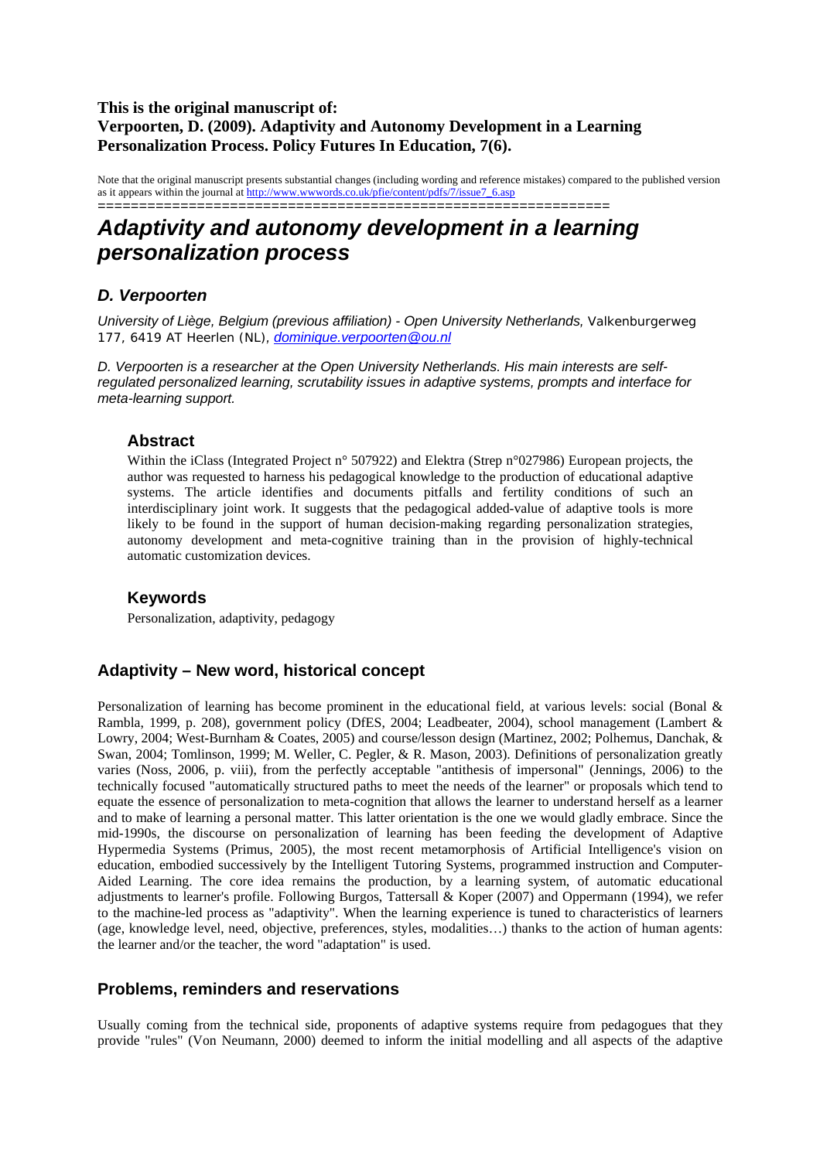# **This is the original manuscript of: Verpoorten, D. (2009). Adaptivity and Autonomy Development in a Learning Personalization Process. Policy Futures In Education, 7(6).**

Note that the original manuscript presents substantial changes (including wording and reference mistakes) compared to the published version as it appears within the journal at http://www.wwwords.co.uk/pfie/content/pdfs/7/issue7\_6.asp ==============================================================

# *Adaptivity and autonomy development in a learning personalization process*

# *D. Verpoorten*

*University of Liège, Belgium (previous affiliation) - Open University Netherlands, Valkenburgerweg 177, 6419 AT Heerlen (NL), dominique.verpoorten@ou.nl*

*D. Verpoorten is a researcher at the Open University Netherlands. His main interests are selfregulated personalized learning, scrutability issues in adaptive systems, prompts and interface for meta-learning support.* 

### **Abstract**

Within the iClass (Integrated Project n° 507922) and Elektra (Strep n°027986) European projects, the author was requested to harness his pedagogical knowledge to the production of educational adaptive systems. The article identifies and documents pitfalls and fertility conditions of such an interdisciplinary joint work. It suggests that the pedagogical added-value of adaptive tools is more likely to be found in the support of human decision-making regarding personalization strategies, autonomy development and meta-cognitive training than in the provision of highly-technical automatic customization devices.

# **Keywords**

Personalization, adaptivity, pedagogy

# **Adaptivity – New word, historical concept**

Personalization of learning has become prominent in the educational field, at various levels: social (Bonal & Rambla, 1999, p. 208), government policy (DfES, 2004; Leadbeater, 2004), school management (Lambert & Lowry, 2004; West-Burnham & Coates, 2005) and course/lesson design (Martinez, 2002; Polhemus, Danchak, & Swan, 2004; Tomlinson, 1999; M. Weller, C. Pegler, & R. Mason, 2003). Definitions of personalization greatly varies (Noss, 2006, p. viii), from the perfectly acceptable "antithesis of impersonal" (Jennings, 2006) to the technically focused "automatically structured paths to meet the needs of the learner" or proposals which tend to equate the essence of personalization to meta-cognition that allows the learner to understand herself as a learner and to make of learning a personal matter. This latter orientation is the one we would gladly embrace. Since the mid-1990s, the discourse on personalization of learning has been feeding the development of Adaptive Hypermedia Systems (Primus, 2005), the most recent metamorphosis of Artificial Intelligence's vision on education, embodied successively by the Intelligent Tutoring Systems, programmed instruction and Computer-Aided Learning. The core idea remains the production, by a learning system, of automatic educational adjustments to learner's profile. Following Burgos, Tattersall & Koper (2007) and Oppermann (1994), we refer to the machine-led process as "adaptivity". When the learning experience is tuned to characteristics of learners (age, knowledge level, need, objective, preferences, styles, modalities…) thanks to the action of human agents: the learner and/or the teacher, the word "adaptation" is used.

# **Problems, reminders and reservations**

Usually coming from the technical side, proponents of adaptive systems require from pedagogues that they provide "rules" (Von Neumann, 2000) deemed to inform the initial modelling and all aspects of the adaptive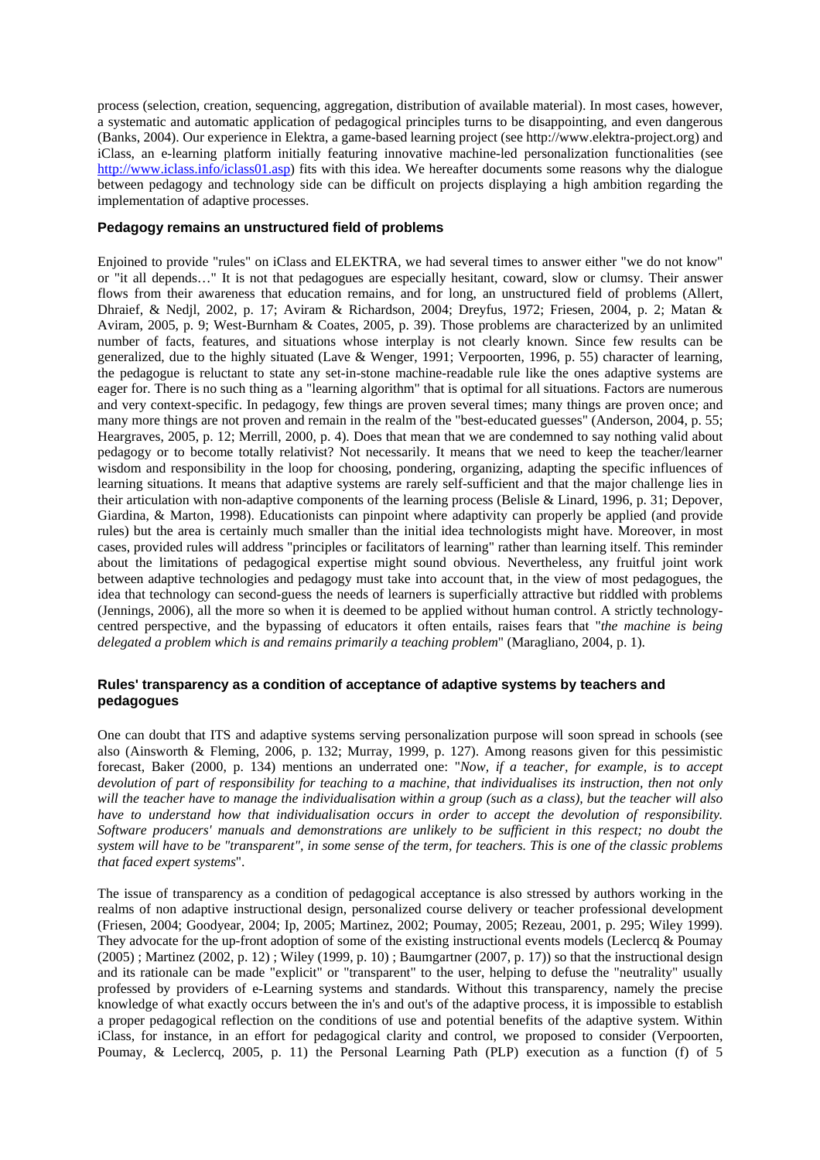process (selection, creation, sequencing, aggregation, distribution of available material). In most cases, however, a systematic and automatic application of pedagogical principles turns to be disappointing, and even dangerous (Banks, 2004). Our experience in Elektra, a game-based learning project (see http://www.elektra-project.org) and iClass, an e-learning platform initially featuring innovative machine-led personalization functionalities (see http://www.iclass.info/iclass01.asp) fits with this idea. We hereafter documents some reasons why the dialogue between pedagogy and technology side can be difficult on projects displaying a high ambition regarding the implementation of adaptive processes.

#### **Pedagogy remains an unstructured field of problems**

Enjoined to provide "rules" on iClass and ELEKTRA, we had several times to answer either "we do not know" or "it all depends…" It is not that pedagogues are especially hesitant, coward, slow or clumsy. Their answer flows from their awareness that education remains, and for long, an unstructured field of problems (Allert, Dhraief, & Nedjl, 2002, p. 17; Aviram & Richardson, 2004; Dreyfus, 1972; Friesen, 2004, p. 2; Matan & Aviram, 2005, p. 9; West-Burnham & Coates, 2005, p. 39). Those problems are characterized by an unlimited number of facts, features, and situations whose interplay is not clearly known. Since few results can be generalized, due to the highly situated (Lave & Wenger, 1991; Verpoorten, 1996, p. 55) character of learning, the pedagogue is reluctant to state any set-in-stone machine-readable rule like the ones adaptive systems are eager for. There is no such thing as a "learning algorithm" that is optimal for all situations. Factors are numerous and very context-specific. In pedagogy, few things are proven several times; many things are proven once; and many more things are not proven and remain in the realm of the "best-educated guesses" (Anderson, 2004, p. 55; Heargraves, 2005, p. 12; Merrill, 2000, p. 4). Does that mean that we are condemned to say nothing valid about pedagogy or to become totally relativist? Not necessarily. It means that we need to keep the teacher/learner wisdom and responsibility in the loop for choosing, pondering, organizing, adapting the specific influences of learning situations. It means that adaptive systems are rarely self-sufficient and that the major challenge lies in their articulation with non-adaptive components of the learning process (Belisle & Linard, 1996, p. 31; Depover, Giardina, & Marton, 1998). Educationists can pinpoint where adaptivity can properly be applied (and provide rules) but the area is certainly much smaller than the initial idea technologists might have. Moreover, in most cases, provided rules will address "principles or facilitators of learning" rather than learning itself. This reminder about the limitations of pedagogical expertise might sound obvious. Nevertheless, any fruitful joint work between adaptive technologies and pedagogy must take into account that, in the view of most pedagogues, the idea that technology can second-guess the needs of learners is superficially attractive but riddled with problems (Jennings, 2006), all the more so when it is deemed to be applied without human control. A strictly technologycentred perspective, and the bypassing of educators it often entails, raises fears that "*the machine is being delegated a problem which is and remains primarily a teaching problem*" (Maragliano, 2004, p. 1).

### **Rules' transparency as a condition of acceptance of adaptive systems by teachers and pedagogues**

One can doubt that ITS and adaptive systems serving personalization purpose will soon spread in schools (see also (Ainsworth & Fleming, 2006, p. 132; Murray, 1999, p. 127). Among reasons given for this pessimistic forecast, Baker (2000, p. 134) mentions an underrated one: "*Now, if a teacher, for example, is to accept devolution of part of responsibility for teaching to a machine, that individualises its instruction, then not only will the teacher have to manage the individualisation within a group (such as a class), but the teacher will also have to understand how that individualisation occurs in order to accept the devolution of responsibility. Software producers' manuals and demonstrations are unlikely to be sufficient in this respect; no doubt the system will have to be "transparent", in some sense of the term, for teachers. This is one of the classic problems that faced expert systems*".

The issue of transparency as a condition of pedagogical acceptance is also stressed by authors working in the realms of non adaptive instructional design, personalized course delivery or teacher professional development (Friesen, 2004; Goodyear, 2004; Ip, 2005; Martinez, 2002; Poumay, 2005; Rezeau, 2001, p. 295; Wiley 1999). They advocate for the up-front adoption of some of the existing instructional events models (Leclercq & Poumay  $(2005)$ ; Martinez  $(2002, p. 12)$ ; Wiley  $(1999, p. 10)$ ; Baumgartner  $(2007, p. 17)$ ) so that the instructional design and its rationale can be made "explicit" or "transparent" to the user, helping to defuse the "neutrality" usually professed by providers of e-Learning systems and standards. Without this transparency, namely the precise knowledge of what exactly occurs between the in's and out's of the adaptive process, it is impossible to establish a proper pedagogical reflection on the conditions of use and potential benefits of the adaptive system. Within iClass, for instance, in an effort for pedagogical clarity and control, we proposed to consider (Verpoorten, Poumay, & Leclercq, 2005, p. 11) the Personal Learning Path (PLP) execution as a function (f) of 5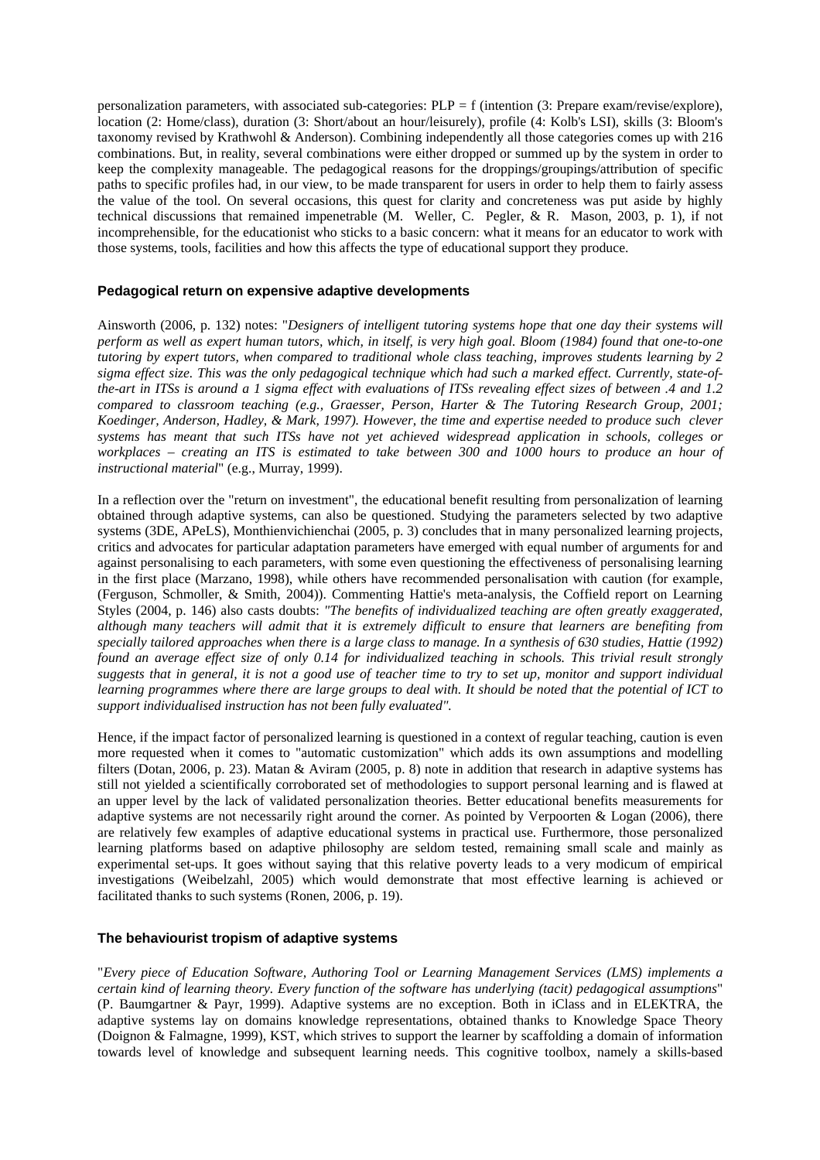personalization parameters, with associated sub-categories: PLP = f (intention (3: Prepare exam/revise/explore), location (2: Home/class), duration (3: Short/about an hour/leisurely), profile (4: Kolb's LSI), skills (3: Bloom's taxonomy revised by Krathwohl & Anderson). Combining independently all those categories comes up with 216 combinations. But, in reality, several combinations were either dropped or summed up by the system in order to keep the complexity manageable. The pedagogical reasons for the droppings/groupings/attribution of specific paths to specific profiles had, in our view, to be made transparent for users in order to help them to fairly assess the value of the tool. On several occasions, this quest for clarity and concreteness was put aside by highly technical discussions that remained impenetrable (M. Weller, C. Pegler, & R. Mason, 2003, p. 1), if not incomprehensible, for the educationist who sticks to a basic concern: what it means for an educator to work with those systems, tools, facilities and how this affects the type of educational support they produce.

#### **Pedagogical return on expensive adaptive developments**

Ainsworth (2006, p. 132) notes: "*Designers of intelligent tutoring systems hope that one day their systems will perform as well as expert human tutors, which, in itself, is very high goal. Bloom (1984) found that one-to-one tutoring by expert tutors, when compared to traditional whole class teaching, improves students learning by 2 sigma effect size. This was the only pedagogical technique which had such a marked effect. Currently, state-ofthe-art in ITSs is around a 1 sigma effect with evaluations of ITSs revealing effect sizes of between .4 and 1.2 compared to classroom teaching (e.g., Graesser, Person, Harter & The Tutoring Research Group, 2001; Koedinger, Anderson, Hadley, & Mark, 1997). However, the time and expertise needed to produce such clever systems has meant that such ITSs have not yet achieved widespread application in schools, colleges or workplaces – creating an ITS is estimated to take between 300 and 1000 hours to produce an hour of instructional material*" (e.g., Murray, 1999).

In a reflection over the "return on investment", the educational benefit resulting from personalization of learning obtained through adaptive systems, can also be questioned. Studying the parameters selected by two adaptive systems (3DE, APeLS), Monthienvichienchai (2005, p. 3) concludes that in many personalized learning projects, critics and advocates for particular adaptation parameters have emerged with equal number of arguments for and against personalising to each parameters, with some even questioning the effectiveness of personalising learning in the first place (Marzano, 1998), while others have recommended personalisation with caution (for example, (Ferguson, Schmoller, & Smith, 2004)). Commenting Hattie's meta-analysis, the Coffield report on Learning Styles (2004, p. 146) also casts doubts: *"The benefits of individualized teaching are often greatly exaggerated, although many teachers will admit that it is extremely difficult to ensure that learners are benefiting from specially tailored approaches when there is a large class to manage. In a synthesis of 630 studies, Hattie (1992) found an average effect size of only 0.14 for individualized teaching in schools. This trivial result strongly suggests that in general, it is not a good use of teacher time to try to set up, monitor and support individual learning programmes where there are large groups to deal with. It should be noted that the potential of ICT to support individualised instruction has not been fully evaluated".* 

Hence, if the impact factor of personalized learning is questioned in a context of regular teaching, caution is even more requested when it comes to "automatic customization" which adds its own assumptions and modelling filters (Dotan, 2006, p. 23). Matan & Aviram (2005, p. 8) note in addition that research in adaptive systems has still not yielded a scientifically corroborated set of methodologies to support personal learning and is flawed at an upper level by the lack of validated personalization theories. Better educational benefits measurements for adaptive systems are not necessarily right around the corner. As pointed by Verpoorten & Logan (2006), there are relatively few examples of adaptive educational systems in practical use. Furthermore, those personalized learning platforms based on adaptive philosophy are seldom tested, remaining small scale and mainly as experimental set-ups. It goes without saying that this relative poverty leads to a very modicum of empirical investigations (Weibelzahl, 2005) which would demonstrate that most effective learning is achieved or facilitated thanks to such systems (Ronen, 2006, p. 19).

#### **The behaviourist tropism of adaptive systems**

"*Every piece of Education Software, Authoring Tool or Learning Management Services (LMS) implements a certain kind of learning theory. Every function of the software has underlying (tacit) pedagogical assumptions*" (P. Baumgartner & Payr, 1999). Adaptive systems are no exception. Both in iClass and in ELEKTRA, the adaptive systems lay on domains knowledge representations, obtained thanks to Knowledge Space Theory (Doignon & Falmagne, 1999), KST, which strives to support the learner by scaffolding a domain of information towards level of knowledge and subsequent learning needs. This cognitive toolbox, namely a skills-based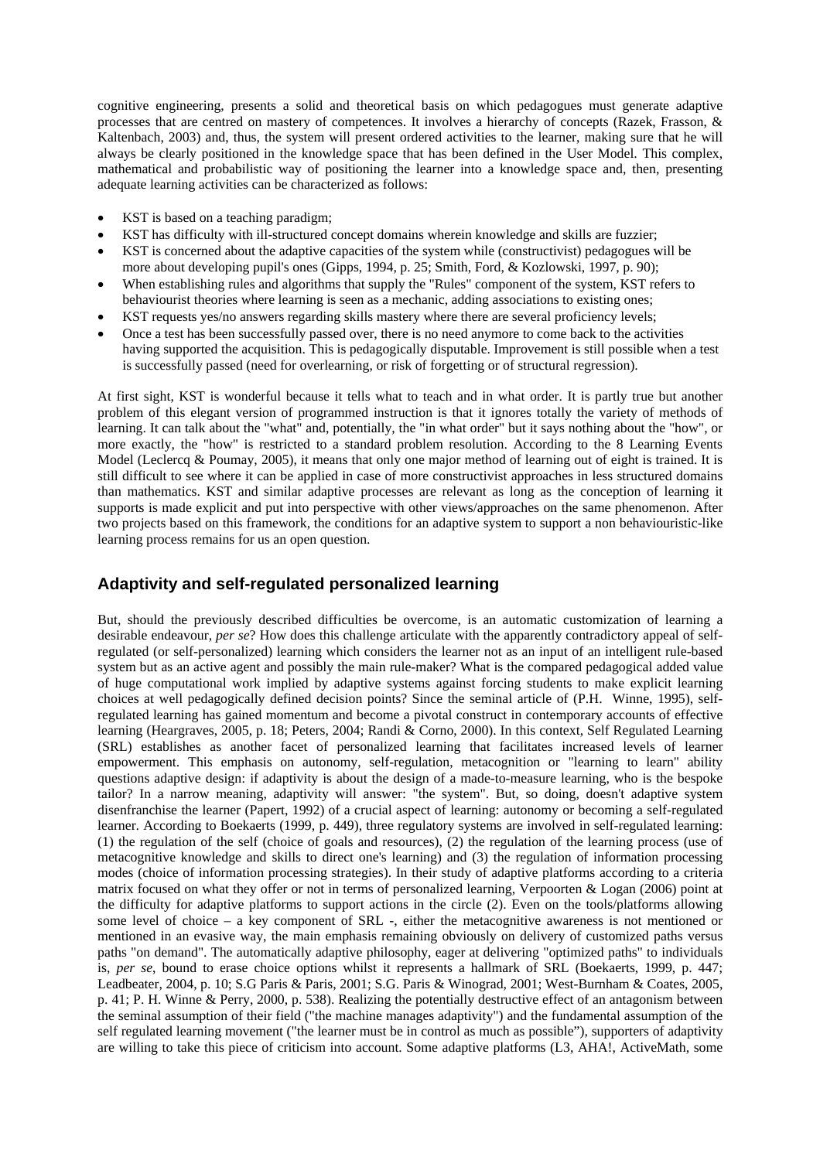cognitive engineering, presents a solid and theoretical basis on which pedagogues must generate adaptive processes that are centred on mastery of competences. It involves a hierarchy of concepts (Razek, Frasson, & Kaltenbach, 2003) and, thus, the system will present ordered activities to the learner, making sure that he will always be clearly positioned in the knowledge space that has been defined in the User Model. This complex, mathematical and probabilistic way of positioning the learner into a knowledge space and, then, presenting adequate learning activities can be characterized as follows:

- KST is based on a teaching paradigm;
- KST has difficulty with ill-structured concept domains wherein knowledge and skills are fuzzier;
- KST is concerned about the adaptive capacities of the system while (constructivist) pedagogues will be more about developing pupil's ones (Gipps, 1994, p. 25; Smith, Ford, & Kozlowski, 1997, p. 90);
- When establishing rules and algorithms that supply the "Rules" component of the system, KST refers to behaviourist theories where learning is seen as a mechanic, adding associations to existing ones;
- KST requests yes/no answers regarding skills mastery where there are several proficiency levels;
- Once a test has been successfully passed over, there is no need anymore to come back to the activities having supported the acquisition. This is pedagogically disputable. Improvement is still possible when a test is successfully passed (need for overlearning, or risk of forgetting or of structural regression).

At first sight, KST is wonderful because it tells what to teach and in what order. It is partly true but another problem of this elegant version of programmed instruction is that it ignores totally the variety of methods of learning. It can talk about the "what" and, potentially, the "in what order" but it says nothing about the "how", or more exactly, the "how" is restricted to a standard problem resolution. According to the 8 Learning Events Model (Leclercq & Poumay, 2005), it means that only one major method of learning out of eight is trained. It is still difficult to see where it can be applied in case of more constructivist approaches in less structured domains than mathematics. KST and similar adaptive processes are relevant as long as the conception of learning it supports is made explicit and put into perspective with other views/approaches on the same phenomenon. After two projects based on this framework, the conditions for an adaptive system to support a non behaviouristic-like learning process remains for us an open question.

# **Adaptivity and self-regulated personalized learning**

But, should the previously described difficulties be overcome, is an automatic customization of learning a desirable endeavour, *per se*? How does this challenge articulate with the apparently contradictory appeal of selfregulated (or self-personalized) learning which considers the learner not as an input of an intelligent rule-based system but as an active agent and possibly the main rule-maker? What is the compared pedagogical added value of huge computational work implied by adaptive systems against forcing students to make explicit learning choices at well pedagogically defined decision points? Since the seminal article of (P.H. Winne, 1995), selfregulated learning has gained momentum and become a pivotal construct in contemporary accounts of effective learning (Heargraves, 2005, p. 18; Peters, 2004; Randi & Corno, 2000). In this context, Self Regulated Learning (SRL) establishes as another facet of personalized learning that facilitates increased levels of learner empowerment. This emphasis on autonomy, self-regulation, metacognition or "learning to learn" ability questions adaptive design: if adaptivity is about the design of a made-to-measure learning, who is the bespoke tailor? In a narrow meaning, adaptivity will answer: "the system". But, so doing, doesn't adaptive system disenfranchise the learner (Papert, 1992) of a crucial aspect of learning: autonomy or becoming a self-regulated learner. According to Boekaerts (1999, p. 449), three regulatory systems are involved in self-regulated learning: (1) the regulation of the self (choice of goals and resources), (2) the regulation of the learning process (use of metacognitive knowledge and skills to direct one's learning) and (3) the regulation of information processing modes (choice of information processing strategies). In their study of adaptive platforms according to a criteria matrix focused on what they offer or not in terms of personalized learning, Verpoorten & Logan (2006) point at the difficulty for adaptive platforms to support actions in the circle (2). Even on the tools/platforms allowing some level of choice – a key component of SRL -, either the metacognitive awareness is not mentioned or mentioned in an evasive way, the main emphasis remaining obviously on delivery of customized paths versus paths "on demand". The automatically adaptive philosophy, eager at delivering "optimized paths" to individuals is, *per se*, bound to erase choice options whilst it represents a hallmark of SRL (Boekaerts, 1999, p. 447; Leadbeater, 2004, p. 10; S.G Paris & Paris, 2001; S.G. Paris & Winograd, 2001; West-Burnham & Coates, 2005, p. 41; P. H. Winne & Perry, 2000, p. 538). Realizing the potentially destructive effect of an antagonism between the seminal assumption of their field ("the machine manages adaptivity") and the fundamental assumption of the self regulated learning movement ("the learner must be in control as much as possible"), supporters of adaptivity are willing to take this piece of criticism into account. Some adaptive platforms (L3, AHA!, ActiveMath, some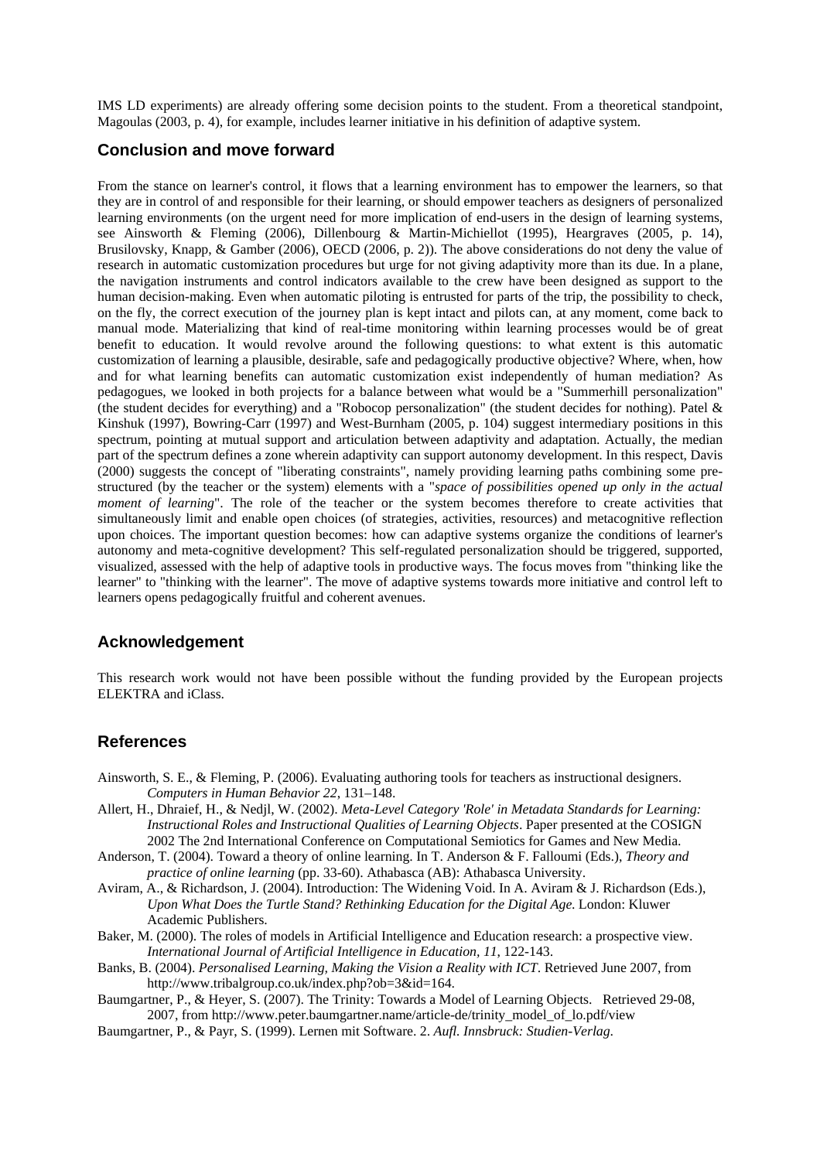IMS LD experiments) are already offering some decision points to the student. From a theoretical standpoint, Magoulas (2003, p. 4), for example, includes learner initiative in his definition of adaptive system.

### **Conclusion and move forward**

From the stance on learner's control, it flows that a learning environment has to empower the learners, so that they are in control of and responsible for their learning, or should empower teachers as designers of personalized learning environments (on the urgent need for more implication of end-users in the design of learning systems, see Ainsworth & Fleming (2006), Dillenbourg & Martin-Michiellot (1995), Heargraves (2005, p. 14), Brusilovsky, Knapp, & Gamber (2006), OECD (2006, p. 2)). The above considerations do not deny the value of research in automatic customization procedures but urge for not giving adaptivity more than its due. In a plane, the navigation instruments and control indicators available to the crew have been designed as support to the human decision-making. Even when automatic piloting is entrusted for parts of the trip, the possibility to check, on the fly, the correct execution of the journey plan is kept intact and pilots can, at any moment, come back to manual mode. Materializing that kind of real-time monitoring within learning processes would be of great benefit to education. It would revolve around the following questions: to what extent is this automatic customization of learning a plausible, desirable, safe and pedagogically productive objective? Where, when, how and for what learning benefits can automatic customization exist independently of human mediation? As pedagogues, we looked in both projects for a balance between what would be a "Summerhill personalization" (the student decides for everything) and a "Robocop personalization" (the student decides for nothing). Patel & Kinshuk (1997), Bowring-Carr (1997) and West-Burnham (2005, p. 104) suggest intermediary positions in this spectrum, pointing at mutual support and articulation between adaptivity and adaptation. Actually, the median part of the spectrum defines a zone wherein adaptivity can support autonomy development. In this respect, Davis (2000) suggests the concept of "liberating constraints", namely providing learning paths combining some prestructured (by the teacher or the system) elements with a "*space of possibilities opened up only in the actual moment of learning*". The role of the teacher or the system becomes therefore to create activities that simultaneously limit and enable open choices (of strategies, activities, resources) and metacognitive reflection upon choices. The important question becomes: how can adaptive systems organize the conditions of learner's autonomy and meta-cognitive development? This self-regulated personalization should be triggered, supported, visualized, assessed with the help of adaptive tools in productive ways. The focus moves from "thinking like the learner" to "thinking with the learner". The move of adaptive systems towards more initiative and control left to learners opens pedagogically fruitful and coherent avenues.

# **Acknowledgement**

This research work would not have been possible without the funding provided by the European projects ELEKTRA and iClass.

# **References**

- Ainsworth, S. E., & Fleming, P. (2006). Evaluating authoring tools for teachers as instructional designers. *Computers in Human Behavior 22*, 131–148.
- Allert, H., Dhraief, H., & Nedjl, W. (2002). *Meta-Level Category 'Role' in Metadata Standards for Learning: Instructional Roles and Instructional Qualities of Learning Objects*. Paper presented at the COSIGN 2002 The 2nd International Conference on Computational Semiotics for Games and New Media.
- Anderson, T. (2004). Toward a theory of online learning. In T. Anderson & F. Falloumi (Eds.), *Theory and practice of online learning* (pp. 33-60). Athabasca (AB): Athabasca University.
- Aviram, A., & Richardson, J. (2004). Introduction: The Widening Void. In A. Aviram & J. Richardson (Eds.), *Upon What Does the Turtle Stand? Rethinking Education for the Digital Age*. London: Kluwer Academic Publishers.
- Baker, M. (2000). The roles of models in Artificial Intelligence and Education research: a prospective view. *International Journal of Artificial Intelligence in Education, 11*, 122-143.
- Banks, B. (2004). *Personalised Learning, Making the Vision a Reality with ICT*. Retrieved June 2007, from http://www.tribalgroup.co.uk/index.php?ob=3&id=164.
- Baumgartner, P., & Heyer, S. (2007). The Trinity: Towards a Model of Learning Objects. Retrieved 29-08, 2007, from http://www.peter.baumgartner.name/article-de/trinity\_model\_of\_lo.pdf/view
- Baumgartner, P., & Payr, S. (1999). Lernen mit Software. 2. *Aufl. Innsbruck: Studien-Verlag*.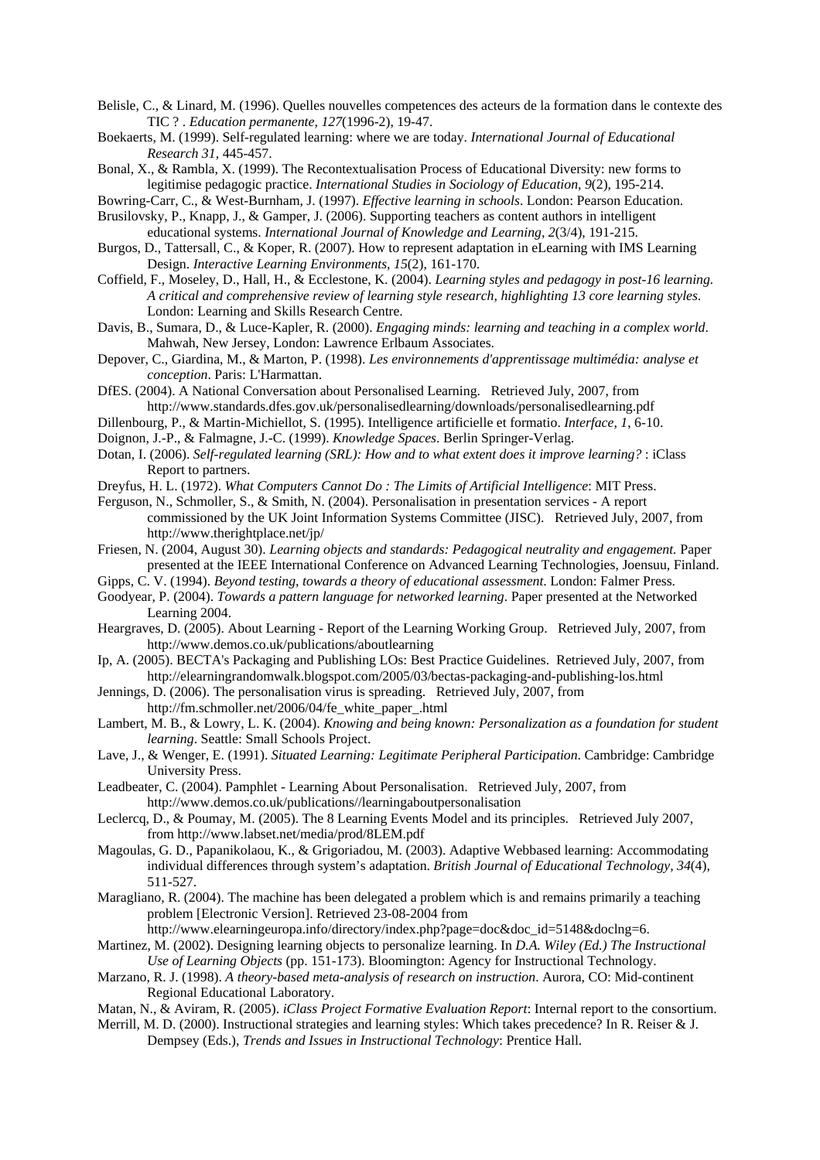Belisle, C., & Linard, M. (1996). Quelles nouvelles competences des acteurs de la formation dans le contexte des TIC ? . *Education permanente, 127*(1996-2), 19-47.

Boekaerts, M. (1999). Self-regulated learning: where we are today. *International Journal of Educational Research 31*, 445-457.

Bonal, X., & Rambla, X. (1999). The Recontextualisation Process of Educational Diversity: new forms to legitimise pedagogic practice. *International Studies in Sociology of Education, 9*(2), 195-214.

Bowring-Carr, C., & West-Burnham, J. (1997). *Effective learning in schools*. London: Pearson Education. Brusilovsky, P., Knapp, J., & Gamper, J. (2006). Supporting teachers as content authors in intelligent

educational systems. *International Journal of Knowledge and Learning, 2*(3/4), 191-215. Burgos, D., Tattersall, C., & Koper, R. (2007). How to represent adaptation in eLearning with IMS Learning

Design. *Interactive Learning Environments, 15*(2), 161-170.

Coffield, F., Moseley, D., Hall, H., & Ecclestone, K. (2004). *Learning styles and pedagogy in post-16 learning. A critical and comprehensive review of learning style research, highlighting 13 core learning styles*. London: Learning and Skills Research Centre.

Davis, B., Sumara, D., & Luce-Kapler, R. (2000). *Engaging minds: learning and teaching in a complex world*. Mahwah, New Jersey, London: Lawrence Erlbaum Associates.

Depover, C., Giardina, M., & Marton, P. (1998). *Les environnements d'apprentissage multimédia: analyse et conception*. Paris: L'Harmattan.

DfES. (2004). A National Conversation about Personalised Learning. Retrieved July, 2007, from http://www.standards.dfes.gov.uk/personalisedlearning/downloads/personalisedlearning.pdf

Dillenbourg, P., & Martin-Michiellot, S. (1995). Intelligence artificielle et formatio. *Interface, 1*, 6-10.

Doignon, J.-P., & Falmagne, J.-C. (1999). *Knowledge Spaces*. Berlin Springer-Verlag.

Dotan, I. (2006). *Self-regulated learning (SRL): How and to what extent does it improve learning?* : iClass Report to partners.

Dreyfus, H. L. (1972). *What Computers Cannot Do : The Limits of Artificial Intelligence*: MIT Press.

Ferguson, N., Schmoller, S., & Smith, N. (2004). Personalisation in presentation services - A report commissioned by the UK Joint Information Systems Committee (JISC). Retrieved July, 2007, from http://www.therightplace.net/jp/

Friesen, N. (2004, August 30). *Learning objects and standards: Pedagogical neutrality and engagement.* Paper presented at the IEEE International Conference on Advanced Learning Technologies, Joensuu, Finland.

Gipps, C. V. (1994). *Beyond testing, towards a theory of educational assessment*. London: Falmer Press.

Goodyear, P. (2004). *Towards a pattern language for networked learning*. Paper presented at the Networked Learning 2004.

Heargraves, D. (2005). About Learning - Report of the Learning Working Group. Retrieved July, 2007, from http://www.demos.co.uk/publications/aboutlearning

- Ip, A. (2005). BECTA's Packaging and Publishing LOs: Best Practice Guidelines. Retrieved July, 2007, from http://elearningrandomwalk.blogspot.com/2005/03/bectas-packaging-and-publishing-los.html
- Jennings, D. (2006). The personalisation virus is spreading. Retrieved July, 2007, from

http://fm.schmoller.net/2006/04/fe\_white\_paper\_.html

Lambert, M. B., & Lowry, L. K. (2004). *Knowing and being known: Personalization as a foundation for student learning*. Seattle: Small Schools Project.

Lave, J., & Wenger, E. (1991). *Situated Learning: Legitimate Peripheral Participation*. Cambridge: Cambridge University Press.

Leadbeater, C. (2004). Pamphlet - Learning About Personalisation. Retrieved July, 2007, from http://www.demos.co.uk/publications//learningaboutpersonalisation

Leclercq, D., & Poumay, M. (2005). The 8 Learning Events Model and its principles. Retrieved July 2007, from http://www.labset.net/media/prod/8LEM.pdf

Magoulas, G. D., Papanikolaou, K., & Grigoriadou, M. (2003). Adaptive Webbased learning: Accommodating individual differences through system's adaptation. *British Journal of Educational Technology, 34*(4), 511-527.

Maragliano, R. (2004). The machine has been delegated a problem which is and remains primarily a teaching problem [Electronic Version]. Retrieved 23-08-2004 from

http://www.elearningeuropa.info/directory/index.php?page=doc&doc\_id=5148&doclng=6.

Martinez, M. (2002). Designing learning objects to personalize learning. In *D.A. Wiley (Ed.) The Instructional Use of Learning Objects* (pp. 151-173). Bloomington: Agency for Instructional Technology.

Marzano, R. J. (1998). *A theory-based meta-analysis of research on instruction*. Aurora, CO: Mid-continent Regional Educational Laboratory.

Matan, N., & Aviram, R. (2005). *iClass Project Formative Evaluation Report*: Internal report to the consortium.

Merrill, M. D. (2000). Instructional strategies and learning styles: Which takes precedence? In R. Reiser & J. Dempsey (Eds.), *Trends and Issues in Instructional Technology*: Prentice Hall.